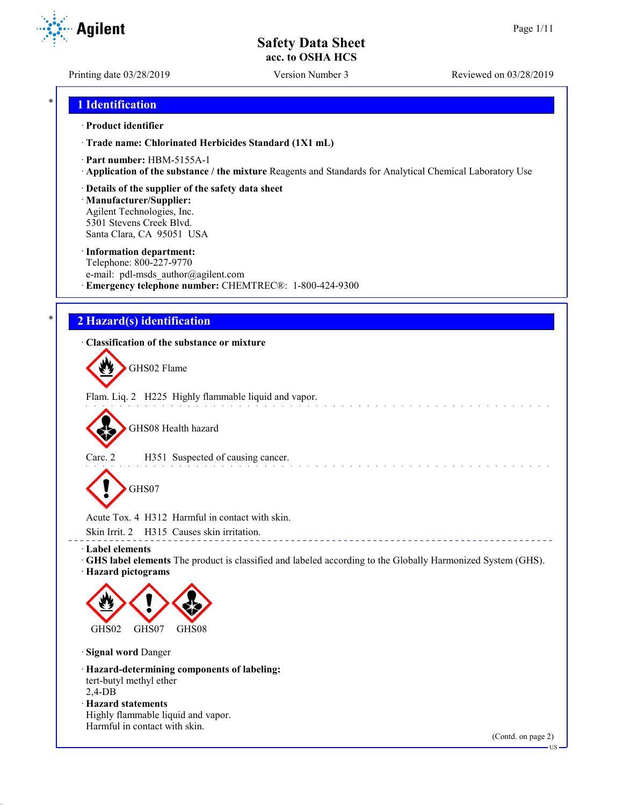**Agilent** 

Printing date 03/28/2019 Version Number 3 Reviewed on 03/28/2019

## \* **1 Identification**

#### · **Product identifier**

· **Trade name: Chlorinated Herbicides Standard (1X1 mL)**

- · **Part number:** HBM-5155A-1
- · **Application of the substance / the mixture** Reagents and Standards for Analytical Chemical Laboratory Use
- · **Details of the supplier of the safety data sheet**

· **Manufacturer/Supplier:** Agilent Technologies, Inc. 5301 Stevens Creek Blvd. Santa Clara, CA 95051 USA

#### · **Information department:**

Telephone: 800-227-9770 e-mail: pdl-msds author@agilent.com · **Emergency telephone number:** CHEMTREC®: 1-800-424-9300

## \* **2 Hazard(s) identification**

## · **Classification of the substance or mixture**

GHS02 Flame

Flam. Liq. 2 H225 Highly flammable liquid and vapor.

GHS08 Health hazard

Carc. 2 H351 Suspected of causing cancer.

GHS07

Acute Tox. 4 H312 Harmful in contact with skin.

Skin Irrit. 2 H315 Causes skin irritation.

· **Label elements**

· **GHS label elements** The product is classified and labeled according to the Globally Harmonized System (GHS). · **Hazard pictograms**

and the state of the state of the

\_\_\_\_\_\_\_\_\_\_\_\_\_\_\_\_\_\_\_\_\_\_\_\_\_\_\_\_\_\_\_\_\_\_



· **Signal word** Danger

· **Hazard-determining components of labeling:** tert-butyl methyl ether 2,4-DB · **Hazard statements** Highly flammable liquid and vapor. Harmful in contact with skin.

(Contd. on page 2)

US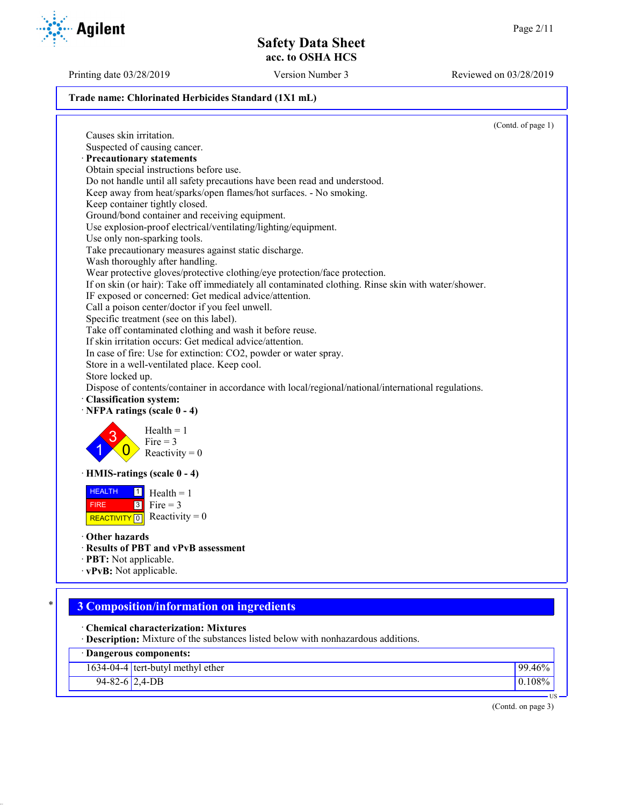Printing date 03/28/2019 Version Number 3 Reviewed on 03/28/2019

#### **Trade name: Chlorinated Herbicides Standard (1X1 mL)**

(Contd. of page 1) Causes skin irritation. Suspected of causing cancer. · **Precautionary statements** Obtain special instructions before use. Do not handle until all safety precautions have been read and understood. Keep away from heat/sparks/open flames/hot surfaces. - No smoking. Keep container tightly closed. Ground/bond container and receiving equipment. Use explosion-proof electrical/ventilating/lighting/equipment. Use only non-sparking tools. Take precautionary measures against static discharge. Wash thoroughly after handling. Wear protective gloves/protective clothing/eye protection/face protection. If on skin (or hair): Take off immediately all contaminated clothing. Rinse skin with water/shower. IF exposed or concerned: Get medical advice/attention. Call a poison center/doctor if you feel unwell. Specific treatment (see on this label). Take off contaminated clothing and wash it before reuse. If skin irritation occurs: Get medical advice/attention. In case of fire: Use for extinction: CO2, powder or water spray. Store in a well-ventilated place. Keep cool. Store locked up. Dispose of contents/container in accordance with local/regional/national/international regulations. · **Classification system:** · **NFPA ratings (scale 0 - 4)** 1 3  $\overline{0}$  $Health = 1$  $Fire = 3$ Reactivity  $= 0$ · **HMIS-ratings (scale 0 - 4) HEALTH**  FIRE REACTIVITY  $\boxed{0}$  Reactivity = 0  $\overline{1}$  $3$  Fire = 3  $Health = 1$ · **Other hazards** · **Results of PBT and vPvB assessment** · **PBT:** Not applicable.

· **vPvB:** Not applicable.

# \* **3 Composition/information on ingredients**

· **Chemical characterization: Mixtures**

· **Description:** Mixture of the substances listed below with nonhazardous additions.

| · Dangerous components: |                                     |           |  |
|-------------------------|-------------------------------------|-----------|--|
|                         | $1634-04-4$ tert-butyl methyl ether | 99.46%    |  |
| $94 - 82 - 6$ 2,4-DB    |                                     | $0.108\%$ |  |

(Contd. on page 3)

US

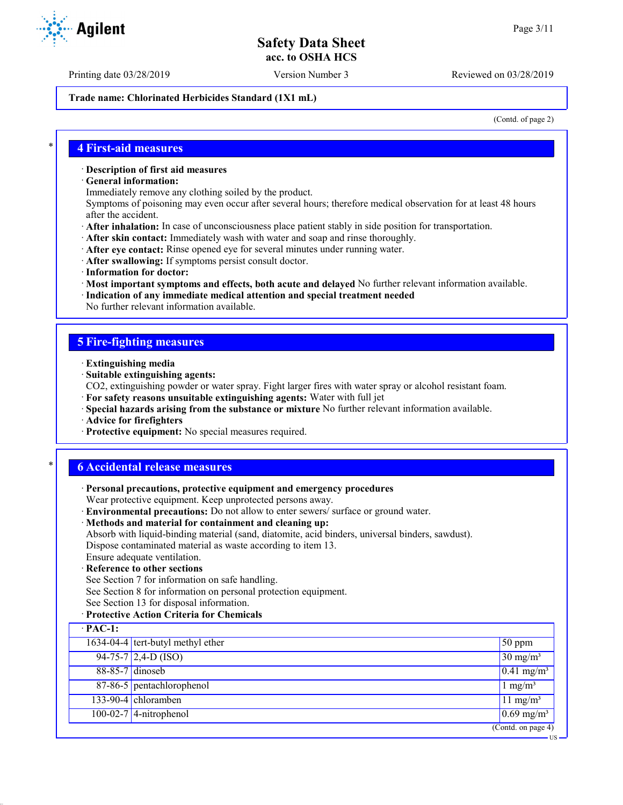Printing date 03/28/2019 Version Number 3 Reviewed on 03/28/2019

#### **Trade name: Chlorinated Herbicides Standard (1X1 mL)**

(Contd. of page 2)

US

#### \* **4 First-aid measures**

#### · **Description of first aid measures**

· **General information:**

Immediately remove any clothing soiled by the product.

Symptoms of poisoning may even occur after several hours; therefore medical observation for at least 48 hours after the accident.

- · **After inhalation:** In case of unconsciousness place patient stably in side position for transportation.
- · **After skin contact:** Immediately wash with water and soap and rinse thoroughly.
- · **After eye contact:** Rinse opened eye for several minutes under running water.
- · **After swallowing:** If symptoms persist consult doctor.
- · **Information for doctor:**
- · **Most important symptoms and effects, both acute and delayed** No further relevant information available.
- · **Indication of any immediate medical attention and special treatment needed**
- No further relevant information available.

### **5 Fire-fighting measures**

- · **Extinguishing media**
- · **Suitable extinguishing agents:**
- CO2, extinguishing powder or water spray. Fight larger fires with water spray or alcohol resistant foam.
- · **For safety reasons unsuitable extinguishing agents:** Water with full jet
- · **Special hazards arising from the substance or mixture** No further relevant information available.
- · **Advice for firefighters**
- · **Protective equipment:** No special measures required.

## \* **6 Accidental release measures**

- · **Personal precautions, protective equipment and emergency procedures** Wear protective equipment. Keep unprotected persons away.
- · **Environmental precautions:** Do not allow to enter sewers/ surface or ground water.
- · **Methods and material for containment and cleaning up:**
- Absorb with liquid-binding material (sand, diatomite, acid binders, universal binders, sawdust). Dispose contaminated material as waste according to item 13.
- Ensure adequate ventilation.
- · **Reference to other sections**
- See Section 7 for information on safe handling.
- See Section 8 for information on personal protection equipment.
- See Section 13 for disposal information.
- · **Protective Action Criteria for Chemicals**

| $\cdot$ PAC-1: |                                                |                          |
|----------------|------------------------------------------------|--------------------------|
|                | $\overline{1634-04-4}$ tert-butyl methyl ether | $50$ ppm                 |
|                | $94-75-7$ 2,4-D (ISO)                          | $30 \text{ mg/m}^3$      |
|                | 88-85-7 dinoseb                                | $0.41$ mg/m <sup>3</sup> |
|                | 87-86-5 pentachlorophenol                      | $1 \text{ mg/m}^3$       |
|                | $133-90-4$ chloramben                          | $11 \text{ mg/m}^3$      |
|                | $100-02-7$ 4-nitrophenol                       | $0.69$ mg/m <sup>3</sup> |
|                |                                                | (Cond. on page 4)        |

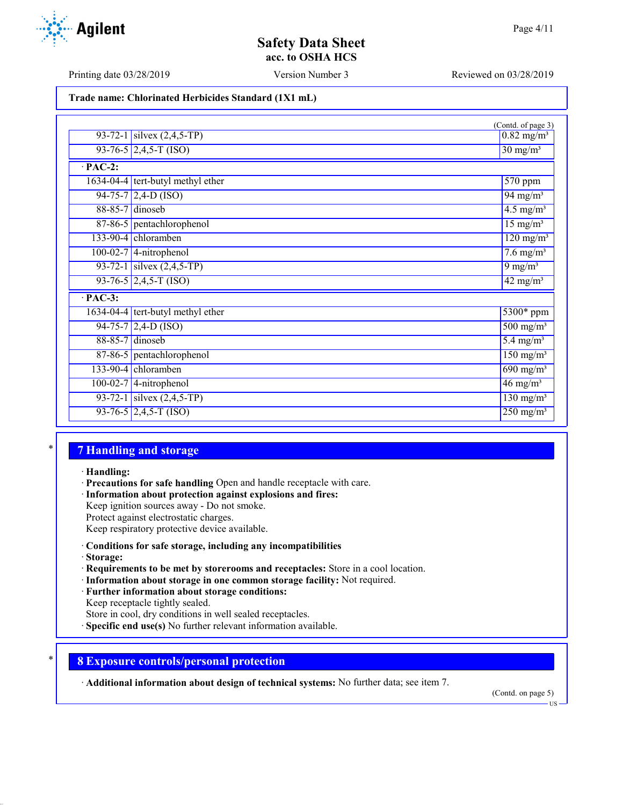Printing date 03/28/2019 Version Number 3 Reviewed on 03/28/2019

**Trade name: Chlorinated Herbicides Standard (1X1 mL)**

|                 |                                     | (Contd. of page 3)                           |  |  |
|-----------------|-------------------------------------|----------------------------------------------|--|--|
|                 | 93-72-1 silvex $(2,4,5-TP)$         | $0.82 \text{ mg/m}^3$                        |  |  |
|                 | $93-76-5$ 2,4,5-T (ISO)             | $30 \text{ mg/m}^3$                          |  |  |
| $\cdot$ PAC-2:  |                                     |                                              |  |  |
|                 | $1634-04-4$ tert-butyl methyl ether | 570 ppm                                      |  |  |
|                 | $94-75-7$ 2,4-D (ISO)               | $94 \frac{\text{mg}}{\text{m}}\text{s}$      |  |  |
|                 | 88-85-7 dinoseb                     | $4.5 \text{ mg/m}^3$                         |  |  |
|                 | 87-86-5 pentachlorophenol           | $15 \text{ mg/m}^3$                          |  |  |
|                 | $133-90-4$ chloramben               | $\frac{120 \text{ mg}}{m^3}$                 |  |  |
|                 | $100-02-7$ 4-nitrophenol            | $7.6 \text{ mg/m}^3$                         |  |  |
|                 | 93-72-1 silvex $(2,4,5-TP)$         | 9 mg/m $3$                                   |  |  |
|                 | $93-76-5$ 2,4,5-T (ISO)             | $\frac{42 \text{ mg}}{\text{m}}\text{g/m}^3$ |  |  |
| $PAC-3$ :       |                                     |                                              |  |  |
|                 | $1634-04-4$ tert-butyl methyl ether | $5300*$ ppm                                  |  |  |
|                 | $94-75-7$ 2,4-D (ISO)               | $500 \frac{\text{mg}}{\text{m}}\text{s}$     |  |  |
| 88-85-7 dinoseb |                                     | $5.4 \text{ mg/m}^3$                         |  |  |
|                 | 87-86-5 pentachlorophenol           | $150 \text{ mg/m}^3$                         |  |  |
|                 | 133-90-4 chloramben                 | $\sqrt{690 \text{ mg/m}^3}$                  |  |  |
|                 | 100-02-7 4-nitrophenol              | $46 \text{ mg/m}^3$                          |  |  |
|                 | 93-72-1 silvex $(2,4,5-TP)$         | $\frac{130 \text{ mg}}{\text{m}}$            |  |  |
|                 | $93-76-5$ 2,4,5-T (ISO)             | $250$ mg/m <sup>3</sup>                      |  |  |

## \* **7 Handling and storage**

· **Handling:**

- · **Precautions for safe handling** Open and handle receptacle with care.
- · **Information about protection against explosions and fires:**

Keep ignition sources away - Do not smoke.

Protect against electrostatic charges.

Keep respiratory protective device available.

### · **Conditions for safe storage, including any incompatibilities**

- · **Storage:**
- · **Requirements to be met by storerooms and receptacles:** Store in a cool location.
- · **Information about storage in one common storage facility:** Not required.
- · **Further information about storage conditions:**

Keep receptacle tightly sealed.

- Store in cool, dry conditions in well sealed receptacles.
- **Specific end use(s)** No further relevant information available.

## \* **8 Exposure controls/personal protection**

· **Additional information about design of technical systems:** No further data; see item 7.

(Contd. on page 5)



US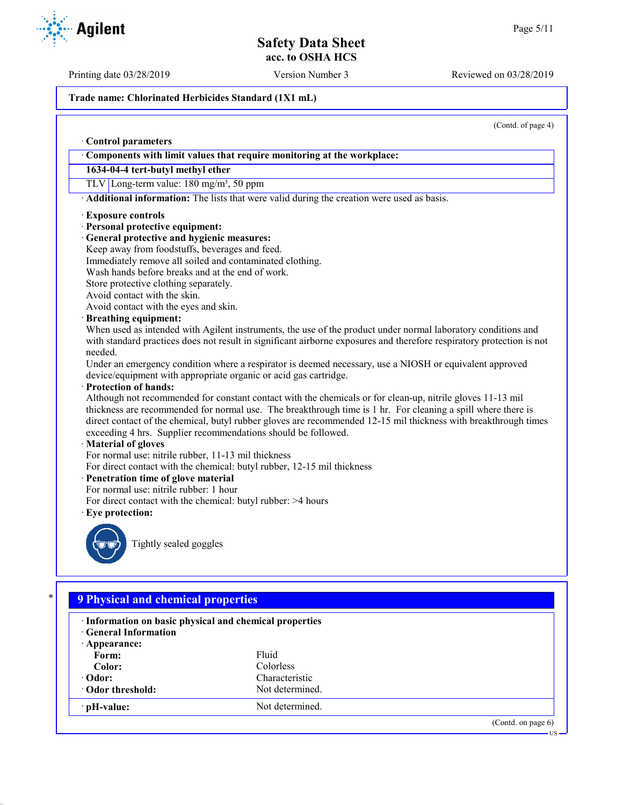Printing date 03/28/2019 Version Number 3 Reviewed on 03/28/2019

#### **Trade name: Chlorinated Herbicides Standard (1X1 mL)**

(Contd. of page 4)

## · **Control parameters** · **Components with limit values that require monitoring at the workplace: 1634-04-4 tert-butyl methyl ether** TLV Long-term value: 180 mg/m<sup>3</sup>, 50 ppm · **Additional information:** The lists that were valid during the creation were used as basis. · **Exposure controls** · **Personal protective equipment:** · **General protective and hygienic measures:** Keep away from foodstuffs, beverages and feed. Immediately remove all soiled and contaminated clothing. Wash hands before breaks and at the end of work. Store protective clothing separately. Avoid contact with the skin. Avoid contact with the eyes and skin. · **Breathing equipment:** When used as intended with Agilent instruments, the use of the product under normal laboratory conditions and with standard practices does not result in significant airborne exposures and therefore respiratory protection is not needed. Under an emergency condition where a respirator is deemed necessary, use a NIOSH or equivalent approved device/equipment with appropriate organic or acid gas cartridge. · **Protection of hands:** Although not recommended for constant contact with the chemicals or for clean-up, nitrile gloves 11-13 mil thickness are recommended for normal use. The breakthrough time is 1 hr. For cleaning a spill where there is direct contact of the chemical, butyl rubber gloves are recommended 12-15 mil thickness with breakthrough times exceeding 4 hrs. Supplier recommendations should be followed. · **Material of gloves** For normal use: nitrile rubber, 11-13 mil thickness For direct contact with the chemical: butyl rubber, 12-15 mil thickness · **Penetration time of glove material** For normal use: nitrile rubber: 1 hour For direct contact with the chemical: butyl rubber: >4 hours · **Eye protection:** Tightly sealed goggles

| · Information on basic physical and chemical properties<br><b>General Information</b> |                 |  |
|---------------------------------------------------------------------------------------|-----------------|--|
| $\cdot$ Appearance:                                                                   |                 |  |
| Form:                                                                                 | Fluid           |  |
| Color:                                                                                | Colorless       |  |
| $\cdot$ Odor:                                                                         | Characteristic  |  |
| • Odor threshold:                                                                     | Not determined. |  |
| · pH-value:                                                                           | Not determined. |  |

**Agilent**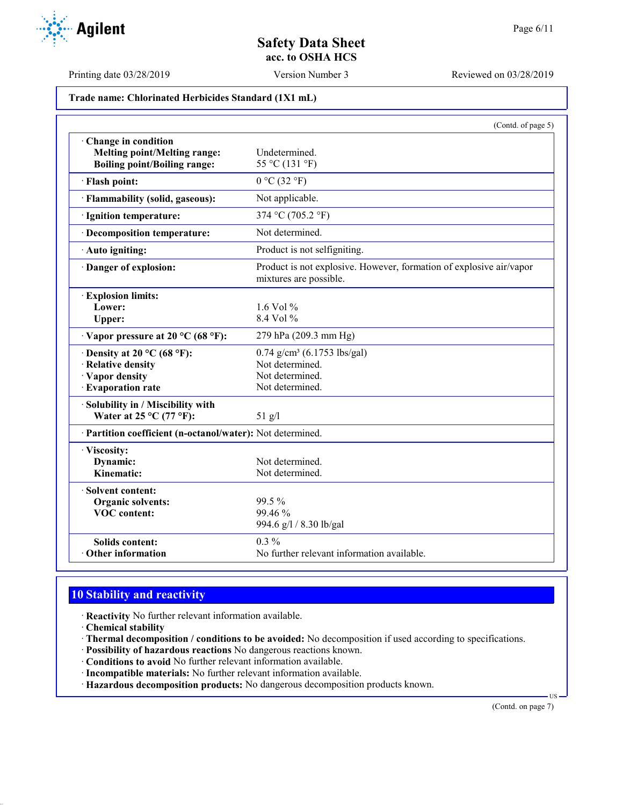

Printing date 03/28/2019 Version Number 3 Reviewed on 03/28/2019

**Trade name: Chlorinated Herbicides Standard (1X1 mL)**

|                                                                                                       | (Contd. of page 5)                                                                                 |
|-------------------------------------------------------------------------------------------------------|----------------------------------------------------------------------------------------------------|
| Change in condition<br><b>Melting point/Melting range:</b><br><b>Boiling point/Boiling range:</b>     | Undetermined.<br>55 °C (131 °F)                                                                    |
| · Flash point:                                                                                        | $0 °C$ (32 °F)                                                                                     |
| · Flammability (solid, gaseous):                                                                      | Not applicable.                                                                                    |
| · Ignition temperature:                                                                               | 374 °C (705.2 °F)                                                                                  |
| · Decomposition temperature:                                                                          | Not determined.                                                                                    |
| · Auto igniting:                                                                                      | Product is not selfigniting.                                                                       |
| · Danger of explosion:                                                                                | Product is not explosive. However, formation of explosive air/vapor<br>mixtures are possible.      |
| · Explosion limits:<br>Lower:<br>Upper:                                                               | 1.6 Vol $%$<br>$8.4$ Vol %                                                                         |
| $\cdot$ Vapor pressure at 20 °C (68 °F):                                                              | 279 hPa (209.3 mm Hg)                                                                              |
| $\cdot$ Density at 20 °C (68 °F):<br>· Relative density<br>· Vapor density<br><b>Evaporation rate</b> | $0.74$ g/cm <sup>3</sup> (6.1753 lbs/gal)<br>Not determined.<br>Not determined.<br>Not determined. |
| Solubility in / Miscibility with<br>Water at $25^{\circ}$ C (77 °F):                                  | $51$ g/l                                                                                           |
| · Partition coefficient (n-octanol/water): Not determined.                                            |                                                                                                    |
| · Viscosity:<br>Dynamic:<br>Kinematic:                                                                | Not determined.<br>Not determined.                                                                 |
| Solvent content:<br>Organic solvents:<br><b>VOC</b> content:                                          | 99.5 %<br>99.46%<br>994.6 g/l / 8.30 lb/gal                                                        |
| <b>Solids content:</b><br>Other information                                                           | $0.3\%$<br>No further relevant information available.                                              |

# **10 Stability and reactivity**

- · **Reactivity** No further relevant information available.
- · **Chemical stability**
- · **Thermal decomposition / conditions to be avoided:** No decomposition if used according to specifications.
- · **Possibility of hazardous reactions** No dangerous reactions known.
- · **Conditions to avoid** No further relevant information available.
- · **Incompatible materials:** No further relevant information available.
- · **Hazardous decomposition products:** No dangerous decomposition products known.

(Contd. on page 7)

US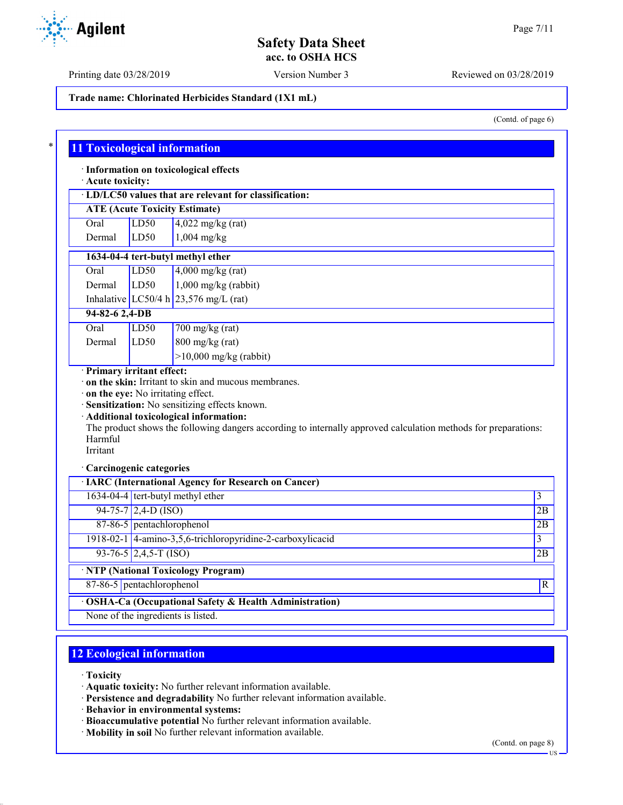Printing date 03/28/2019 Version Number 3 Reviewed on 03/28/2019

**Trade name: Chlorinated Herbicides Standard (1X1 mL)**

(Contd. of page 6)

| · Acute toxicity:                                               |                           | · Information on toxicological effects                                                                                                                    |                         |
|-----------------------------------------------------------------|---------------------------|-----------------------------------------------------------------------------------------------------------------------------------------------------------|-------------------------|
|                                                                 |                           | · LD/LC50 values that are relevant for classification:                                                                                                    |                         |
|                                                                 |                           | <b>ATE (Acute Toxicity Estimate)</b>                                                                                                                      |                         |
| Oral                                                            | LD50                      | $4,022$ mg/kg (rat)                                                                                                                                       |                         |
| Dermal                                                          | LD50                      | $1,004$ mg/kg                                                                                                                                             |                         |
|                                                                 |                           | 1634-04-4 tert-butyl methyl ether                                                                                                                         |                         |
| Oral                                                            | LD50                      | $4,000$ mg/kg (rat)                                                                                                                                       |                         |
| Dermal                                                          | LD50                      | $1,000$ mg/kg (rabbit)                                                                                                                                    |                         |
|                                                                 |                           | Inhalative LC50/4 h $23,576$ mg/L (rat)                                                                                                                   |                         |
| 94-82-6 2,4-DB                                                  |                           |                                                                                                                                                           |                         |
| Oral                                                            | LD50                      | 700 mg/kg (rat)                                                                                                                                           |                         |
| Dermal                                                          | LD50                      | $800$ mg/kg (rat)                                                                                                                                         |                         |
|                                                                 |                           | $>10,000$ mg/kg (rabbit)                                                                                                                                  |                         |
| · Primary irritant effect:<br>on the eye: No irritating effect. |                           | · on the skin: Irritant to skin and mucous membranes.<br>· Sensitization: No sensitizing effects known.                                                   |                         |
| Harmful<br>Irritant                                             |                           | · Additional toxicological information:<br>The product shows the following dangers according to internally approved calculation methods for preparations: |                         |
| · Carcinogenic categories                                       |                           |                                                                                                                                                           |                         |
|                                                                 |                           |                                                                                                                                                           |                         |
|                                                                 |                           | <b>· IARC (International Agency for Research on Cancer)</b><br>1634-04-4 tert-butyl methyl ether                                                          | 3                       |
|                                                                 | $94-75-7$ 2,4-D (ISO)     |                                                                                                                                                           | 2B                      |
|                                                                 | 87-86-5 pentachlorophenol |                                                                                                                                                           | 2B                      |
|                                                                 |                           | 1918-02-1 4-amino-3,5,6-trichloropyridine-2-carboxylicacid                                                                                                | $\overline{\mathbf{3}}$ |
|                                                                 | $93-76-5$ 2,4,5-T (ISO)   |                                                                                                                                                           | 2B                      |
|                                                                 |                           | <b>· NTP (National Toxicology Program)</b>                                                                                                                |                         |

# **12 Ecological information**

- · **Toxicity**
- · **Aquatic toxicity:** No further relevant information available.
- · **Persistence and degradability** No further relevant information available.
- · **Behavior in environmental systems:**
- · **Bioaccumulative potential** No further relevant information available.
- · **Mobility in soil** No further relevant information available.

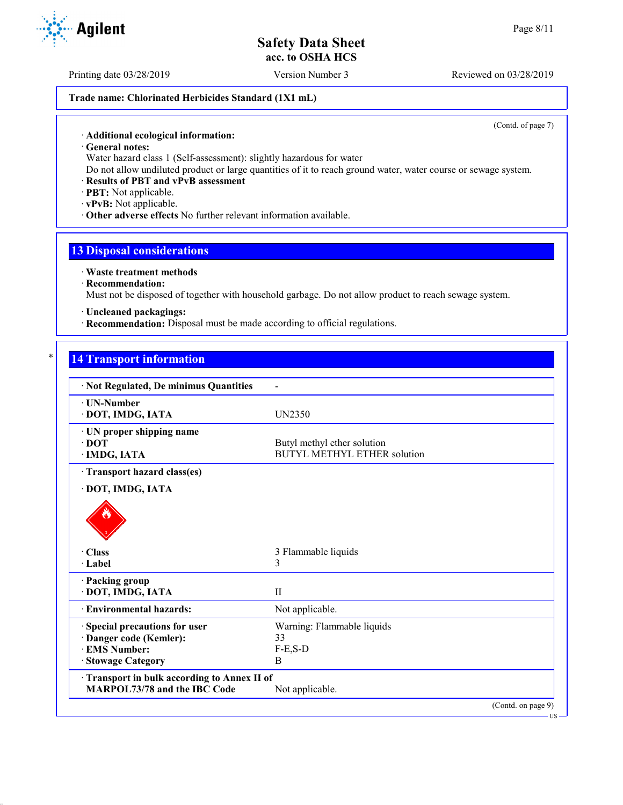#### **Trade name: Chlorinated Herbicides Standard (1X1 mL)**

(Contd. of page 7)

US

· **General notes:**

Water hazard class 1 (Self-assessment): slightly hazardous for water

Do not allow undiluted product or large quantities of it to reach ground water, water course or sewage system.

#### · **Results of PBT and vPvB assessment**

· **PBT:** Not applicable.

· **vPvB:** Not applicable.

· **Other adverse effects** No further relevant information available.

### **13 Disposal considerations**

· **Waste treatment methods**

· **Recommendation:**

Must not be disposed of together with household garbage. Do not allow product to reach sewage system.

· **Uncleaned packagings:**

· **Recommendation:** Disposal must be made according to official regulations.

## **14 Transport information**

| · Not Regulated, De minimus Quantities                                                                   |                                                                   |
|----------------------------------------------------------------------------------------------------------|-------------------------------------------------------------------|
| · UN-Number<br>· DOT, IMDG, IATA                                                                         | UN2350                                                            |
| · UN proper shipping name<br>$\cdot$ DOT<br>· IMDG, IATA                                                 | Butyl methyl ether solution<br><b>BUTYL METHYL ETHER solution</b> |
| Transport hazard class(es)<br>· DOT, IMDG, IATA                                                          |                                                                   |
| · Class<br>$\cdot$ Label                                                                                 | 3 Flammable liquids<br>3                                          |
| · Packing group<br>· DOT, IMDG, IATA                                                                     | $\mathbf{I}$                                                      |
| · Environmental hazards:                                                                                 | Not applicable.                                                   |
| · Special precautions for user<br>Danger code (Kemler):<br><b>EMS</b> Number:<br><b>Stowage Category</b> | Warning: Flammable liquids<br>33<br>$F-E, S-D$<br>B               |
| · Transport in bulk according to Annex II of<br><b>MARPOL73/78 and the IBC Code</b>                      | Not applicable.                                                   |
|                                                                                                          | (Contd. on page 9)                                                |



Printing date 03/28/2019 Version Number 3 Reviewed on 03/28/2019

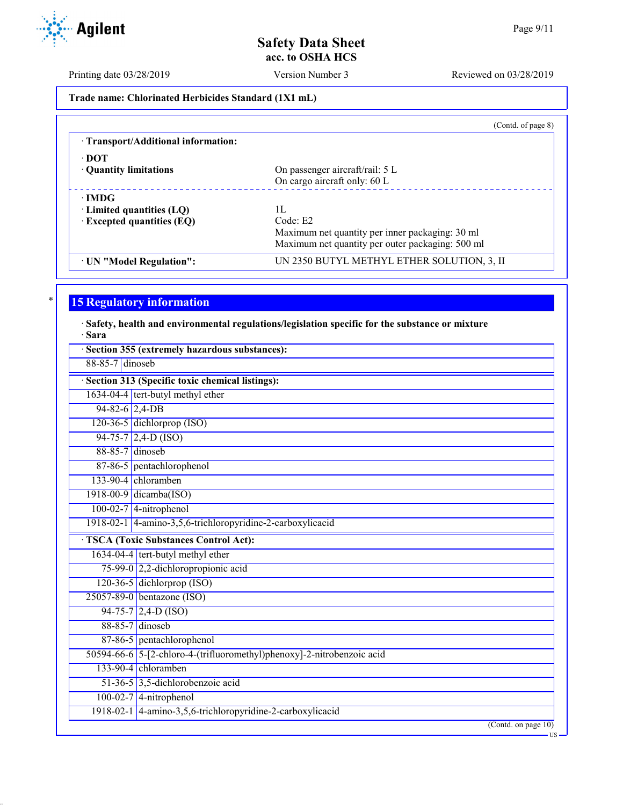Printing date 03/28/2019 Version Number 3 Reviewed on 03/28/2019

**Trade name: Chlorinated Herbicides Standard (1X1 mL)**

|                                     | (Contd. of page 8)                               |
|-------------------------------------|--------------------------------------------------|
| · Transport/Additional information: |                                                  |
| ∙ DOT                               |                                                  |
| • Quantity limitations              | On passenger aircraft/rail: 5 L                  |
|                                     | On cargo aircraft only: 60 L                     |
| $\cdot$ IMDG                        |                                                  |
| $\cdot$ Limited quantities (LQ)     | 1Ι.                                              |
| $\cdot$ Excepted quantities (EQ)    | Code: E2                                         |
|                                     | Maximum net quantity per inner packaging: 30 ml  |
|                                     | Maximum net quantity per outer packaging: 500 ml |
| · UN "Model Regulation":            | UN 2350 BUTYL METHYL ETHER SOLUTION, 3, II       |

# **15 Regulatory information**

· **Safety, health and environmental regulations/legislation specific for the substance or mixture** · **Sara**

|                  | Section 355 (extremely hazardous substances):                          |
|------------------|------------------------------------------------------------------------|
| 88-85-7 dinoseb  |                                                                        |
|                  | · Section 313 (Specific toxic chemical listings):                      |
|                  | 1634-04-4 tert-butyl methyl ether                                      |
| $94-82-6$ 2,4-DB |                                                                        |
|                  | 120-36-5 dichlorprop (ISO)                                             |
|                  | $94-75-7$ 2,4-D (ISO)                                                  |
| 88-85-7 dinoseb  |                                                                        |
|                  | 87-86-5 pentachlorophenol                                              |
|                  | 133-90-4 chloramben                                                    |
|                  | $1918-00-9$ dicamba(ISO)                                               |
|                  | $100-02-7$ 4-nitrophenol                                               |
|                  | 1918-02-1 4-amino-3,5,6-trichloropyridine-2-carboxylicacid             |
|                  | <b>TSCA</b> (Toxic Substances Control Act):                            |
|                  | 1634-04-4 tert-butyl methyl ether                                      |
|                  | 75-99-0 2,2-dichloropropionic acid                                     |
|                  | 120-36-5 dichlorprop (ISO)                                             |
|                  | 25057-89-0 bentazone (ISO)                                             |
|                  | $94-75-7$ 2,4-D (ISO)                                                  |
|                  | 88-85-7 dinoseb                                                        |
|                  | 87-86-5 pentachlorophenol                                              |
|                  | 50594-66-6 5-[2-chloro-4-(trifluoromethyl)phenoxy]-2-nitrobenzoic acid |
|                  | $133-90-4$ chloramben                                                  |
|                  | 51-36-5 3,5-dichlorobenzoic acid                                       |
|                  | $100-02-7$ 4-nitrophenol                                               |
|                  | 1918-02-1 4-amino-3,5,6-trichloropyridine-2-carboxylicacid             |
|                  | $($ Contd. on page $10)$<br>·US·                                       |

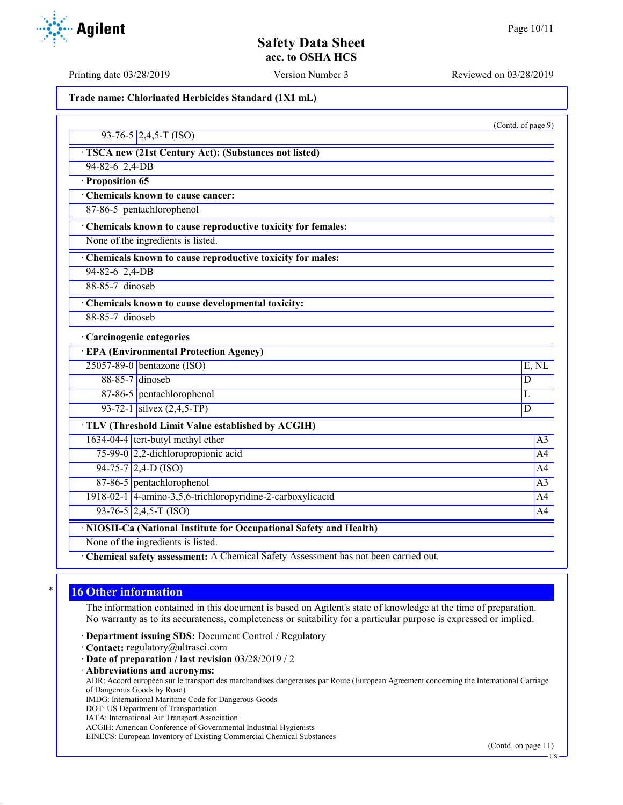(Contd. of page 9)

## **Safety Data Sheet acc. to OSHA HCS**

Printing date 03/28/2019 Version Number 3 Reviewed on 03/28/2019

#### **Trade name: Chlorinated Herbicides Standard (1X1 mL)**

| $93-76-5$ 2,4,5-T (ISO) |
|-------------------------|

- · **TSCA new (21st Century Act): (Substances not listed)**
- 94-82-6 2,4-DB
- · **Proposition 65**
- · **Chemicals known to cause cancer:**
- 87-86-5 pentachlorophenol
- · **Chemicals known to cause reproductive toxicity for females:**
- None of the ingredients is listed.
- · **Chemicals known to cause reproductive toxicity for males:**
- $94-82-6$  2,4-DB
- 88-85-7 dinoseb
- · **Chemicals known to cause developmental toxicity:**
- 88-85-7 dinoseb

#### · **Carcinogenic categories**

| · EPA (Environmental Protection Agency)                            |                                                            |                |  |  |
|--------------------------------------------------------------------|------------------------------------------------------------|----------------|--|--|
|                                                                    | $25057-89-0$ bentazone (ISO)                               | E, NL          |  |  |
|                                                                    | $88-85-7$ dinoseb                                          | D              |  |  |
|                                                                    | 87-86-5 pentachlorophenol                                  | L              |  |  |
|                                                                    | 93-72-1 silvex $(2,4,5-TP)$                                | D              |  |  |
| · TLV (Threshold Limit Value established by ACGIH)                 |                                                            |                |  |  |
|                                                                    | $1634-04-4$ tert-butyl methyl ether                        | A <sub>3</sub> |  |  |
|                                                                    | 75-99-0 2,2-dichloropropionic acid                         | A <sup>4</sup> |  |  |
|                                                                    | $94-75-7$ 2,4-D (ISO)                                      | A <sub>4</sub> |  |  |
|                                                                    | 87-86-5 pentachlorophenol                                  | A <sub>3</sub> |  |  |
|                                                                    | 1918-02-1 4-amino-3,5,6-trichloropyridine-2-carboxylicacid | A <sup>4</sup> |  |  |
|                                                                    | $93-76-5$ 2,4,5-T (ISO)                                    | A <sub>4</sub> |  |  |
| · NIOSH-Ca (National Institute for Occupational Safety and Health) |                                                            |                |  |  |
| None of the ingredients is listed.                                 |                                                            |                |  |  |

· **Chemical safety assessment:** A Chemical Safety Assessment has not been carried out.

## **16 Other information**

The information contained in this document is based on Agilent's state of knowledge at the time of preparation. No warranty as to its accurateness, completeness or suitability for a particular purpose is expressed or implied.

- · **Department issuing SDS:** Document Control / Regulatory
- · **Contact:** regulatory@ultrasci.com
- · **Date of preparation / last revision** 03/28/2019 / 2
- · **Abbreviations and acronyms:**

ADR: Accord européen sur le transport des marchandises dangereuses par Route (European Agreement concerning the International Carriage of Dangerous Goods by Road)

- IMDG: International Maritime Code for Dangerous Goods
- DOT: US Department of Transportation
- IATA: International Air Transport Association
- ACGIH: American Conference of Governmental Industrial Hygienists EINECS: European Inventory of Existing Commercial Chemical Substances

(Contd. on page 11)